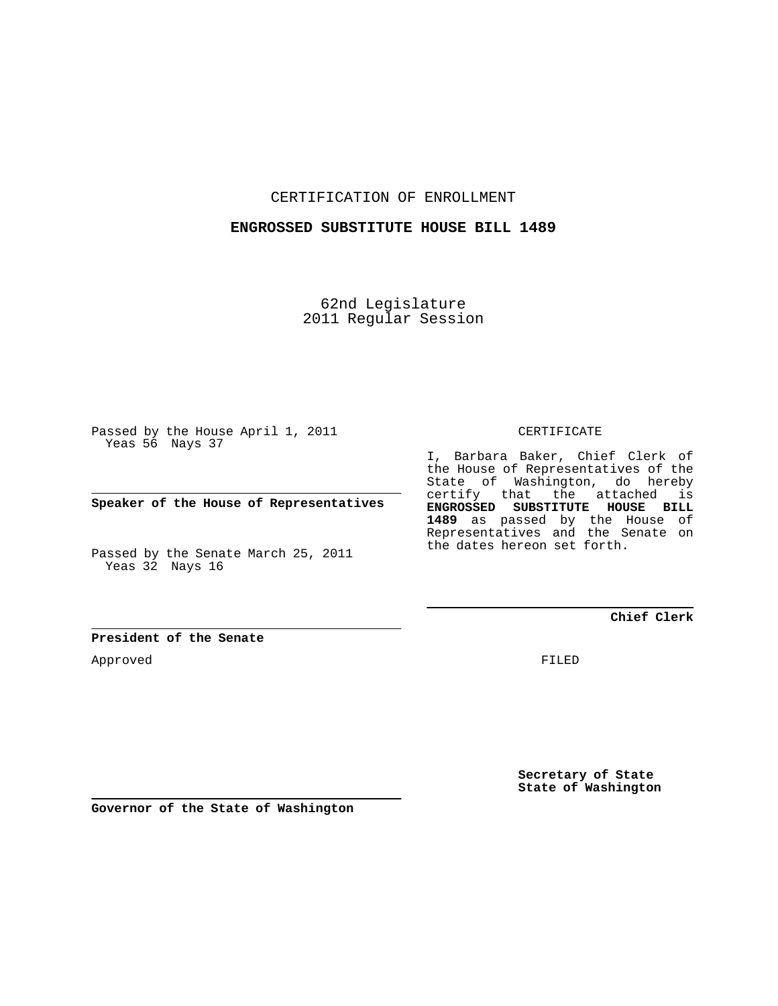CERTIFICATION OF ENROLLMENT

## **ENGROSSED SUBSTITUTE HOUSE BILL 1489**

62nd Legislature 2011 Regular Session

Passed by the House April 1, 2011 Yeas 56 Nays 37

**Speaker of the House of Representatives**

Passed by the Senate March 25, 2011 Yeas 32 Nays 16

CERTIFICATE

I, Barbara Baker, Chief Clerk of the House of Representatives of the State of Washington, do hereby certify that the attached is **ENGROSSED SUBSTITUTE HOUSE BILL 1489** as passed by the House of Representatives and the Senate on the dates hereon set forth.

## **Chief Clerk**

**President of the Senate**

Approved

FILED

**Secretary of State State of Washington**

**Governor of the State of Washington**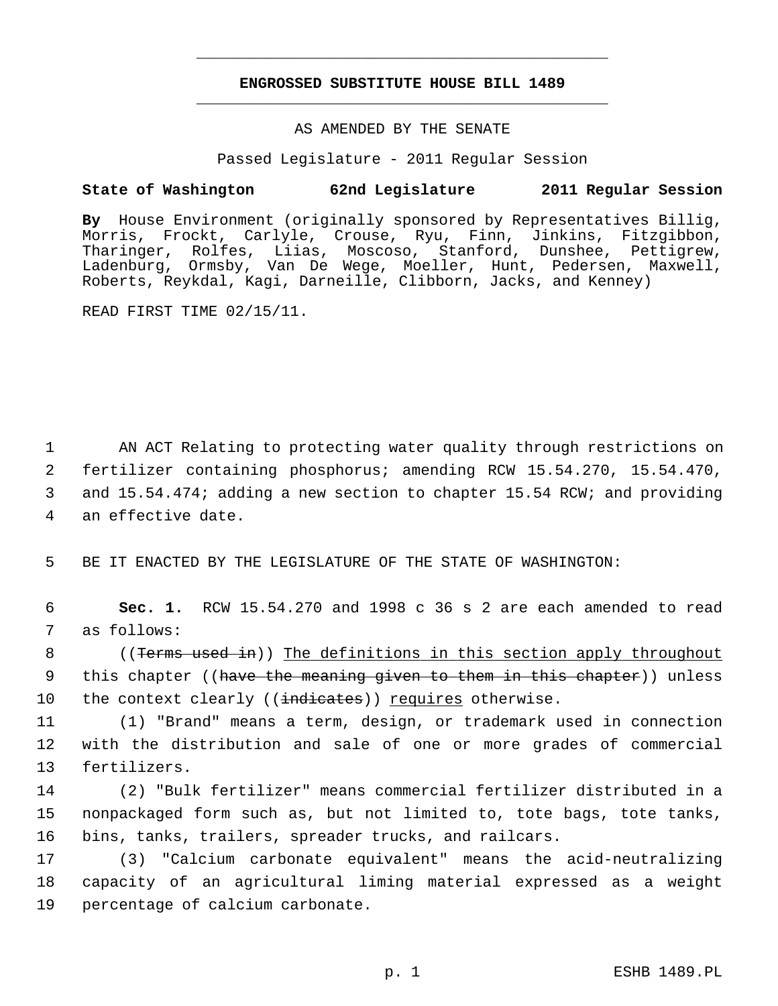# **ENGROSSED SUBSTITUTE HOUSE BILL 1489** \_\_\_\_\_\_\_\_\_\_\_\_\_\_\_\_\_\_\_\_\_\_\_\_\_\_\_\_\_\_\_\_\_\_\_\_\_\_\_\_\_\_\_\_\_

\_\_\_\_\_\_\_\_\_\_\_\_\_\_\_\_\_\_\_\_\_\_\_\_\_\_\_\_\_\_\_\_\_\_\_\_\_\_\_\_\_\_\_\_\_

## AS AMENDED BY THE SENATE

Passed Legislature - 2011 Regular Session

## **State of Washington 62nd Legislature 2011 Regular Session**

**By** House Environment (originally sponsored by Representatives Billig, Morris, Frockt, Carlyle, Crouse, Ryu, Finn, Jinkins, Fitzgibbon, Tharinger, Rolfes, Liias, Moscoso, Stanford, Dunshee, Pettigrew, Ladenburg, Ormsby, Van De Wege, Moeller, Hunt, Pedersen, Maxwell, Roberts, Reykdal, Kagi, Darneille, Clibborn, Jacks, and Kenney)

READ FIRST TIME 02/15/11.

 1 AN ACT Relating to protecting water quality through restrictions on 2 fertilizer containing phosphorus; amending RCW 15.54.270, 15.54.470, 3 and 15.54.474; adding a new section to chapter 15.54 RCW; and providing 4 an effective date.

5 BE IT ENACTED BY THE LEGISLATURE OF THE STATE OF WASHINGTON:

 6 **Sec. 1.** RCW 15.54.270 and 1998 c 36 s 2 are each amended to read 7 as follows:

8 ((Terms used in)) The definitions in this section apply throughout 9 this chapter ((have the meaning given to them in this chapter)) unless 10 the context clearly ((indicates)) requires otherwise.

11 (1) "Brand" means a term, design, or trademark used in connection 12 with the distribution and sale of one or more grades of commercial 13 fertilizers.

14 (2) "Bulk fertilizer" means commercial fertilizer distributed in a 15 nonpackaged form such as, but not limited to, tote bags, tote tanks, 16 bins, tanks, trailers, spreader trucks, and railcars.

17 (3) "Calcium carbonate equivalent" means the acid-neutralizing 18 capacity of an agricultural liming material expressed as a weight 19 percentage of calcium carbonate.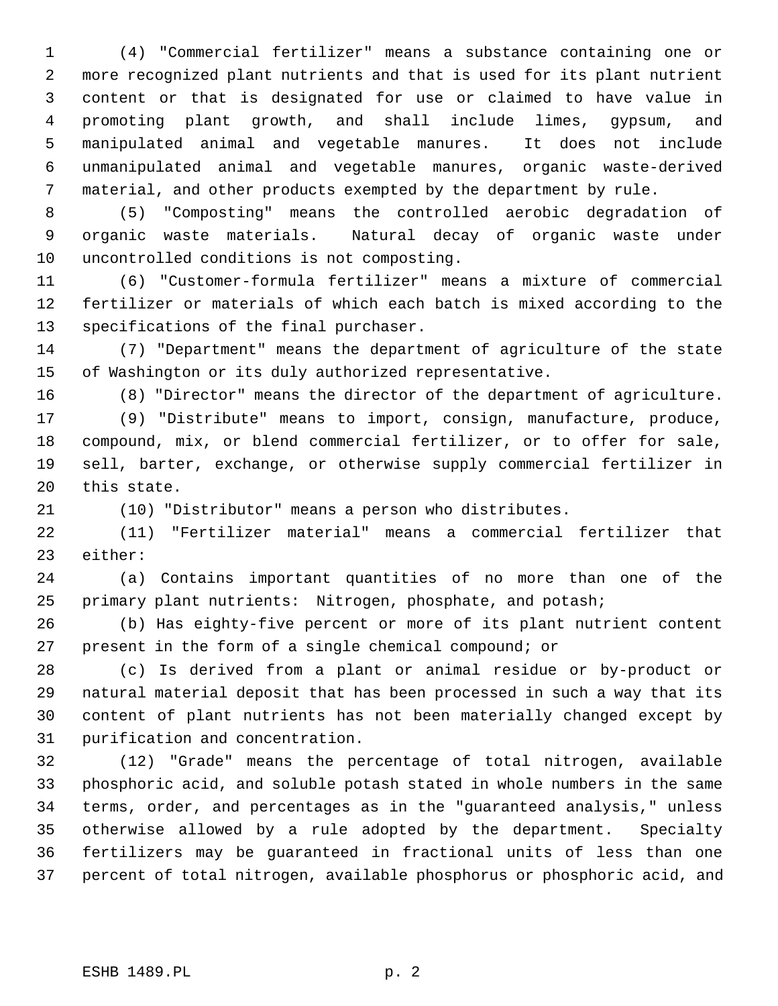1 (4) "Commercial fertilizer" means a substance containing one or 2 more recognized plant nutrients and that is used for its plant nutrient 3 content or that is designated for use or claimed to have value in 4 promoting plant growth, and shall include limes, gypsum, and 5 manipulated animal and vegetable manures. It does not include 6 unmanipulated animal and vegetable manures, organic waste-derived 7 material, and other products exempted by the department by rule.

 8 (5) "Composting" means the controlled aerobic degradation of 9 organic waste materials. Natural decay of organic waste under 10 uncontrolled conditions is not composting.

11 (6) "Customer-formula fertilizer" means a mixture of commercial 12 fertilizer or materials of which each batch is mixed according to the 13 specifications of the final purchaser.

14 (7) "Department" means the department of agriculture of the state 15 of Washington or its duly authorized representative.

16 (8) "Director" means the director of the department of agriculture.

17 (9) "Distribute" means to import, consign, manufacture, produce, 18 compound, mix, or blend commercial fertilizer, or to offer for sale, 19 sell, barter, exchange, or otherwise supply commercial fertilizer in 20 this state.

21 (10) "Distributor" means a person who distributes.

22 (11) "Fertilizer material" means a commercial fertilizer that 23 either:

24 (a) Contains important quantities of no more than one of the 25 primary plant nutrients: Nitrogen, phosphate, and potash;

26 (b) Has eighty-five percent or more of its plant nutrient content 27 present in the form of a single chemical compound; or

28 (c) Is derived from a plant or animal residue or by-product or 29 natural material deposit that has been processed in such a way that its 30 content of plant nutrients has not been materially changed except by 31 purification and concentration.

32 (12) "Grade" means the percentage of total nitrogen, available 33 phosphoric acid, and soluble potash stated in whole numbers in the same 34 terms, order, and percentages as in the "guaranteed analysis," unless 35 otherwise allowed by a rule adopted by the department. Specialty 36 fertilizers may be guaranteed in fractional units of less than one 37 percent of total nitrogen, available phosphorus or phosphoric acid, and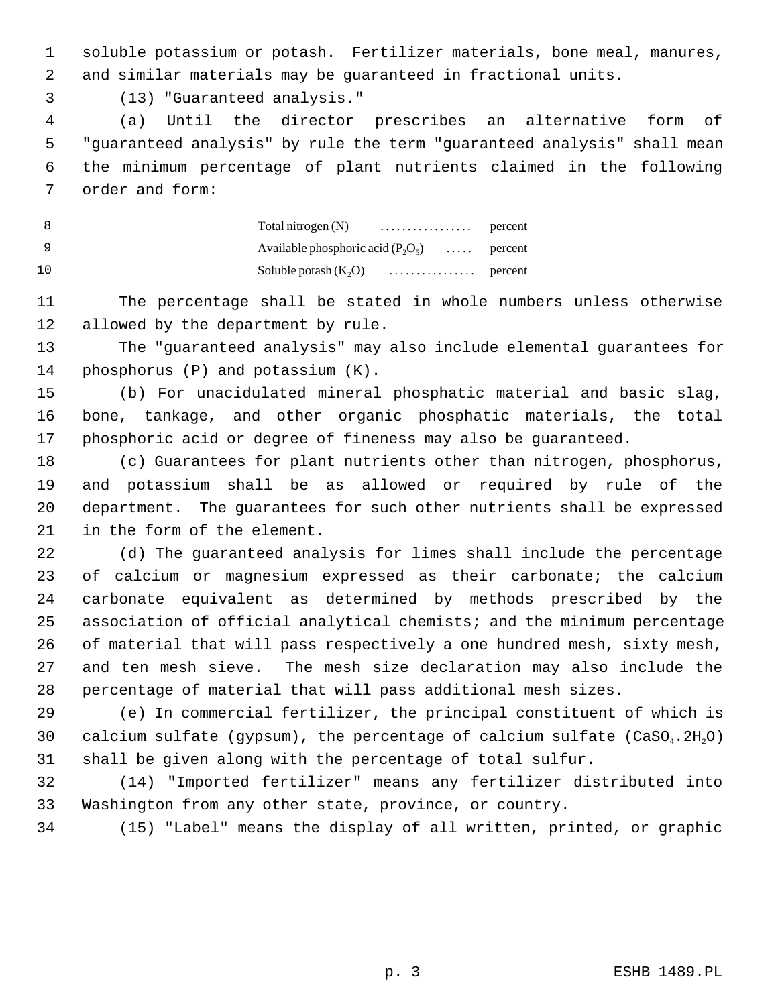1 soluble potassium or potash. Fertilizer materials, bone meal, manures, 2 and similar materials may be guaranteed in fractional units.

3 (13) "Guaranteed analysis."

 4 (a) Until the director prescribes an alternative form of 5 "guaranteed analysis" by rule the term "guaranteed analysis" shall mean 6 the minimum percentage of plant nutrients claimed in the following 7 order and form:

 8 Total nitrogen (N) . . . . . . . . . . . . . . . . . percent 9 Available phosphoric acid  $(P_2O_5)$  ..... percent 10 Soluble potash (K2O) . . . . . . . . . . . . . . . . percent

11 The percentage shall be stated in whole numbers unless otherwise 12 allowed by the department by rule.

13 The "guaranteed analysis" may also include elemental guarantees for 14 phosphorus (P) and potassium (K).

15 (b) For unacidulated mineral phosphatic material and basic slag, 16 bone, tankage, and other organic phosphatic materials, the total 17 phosphoric acid or degree of fineness may also be guaranteed.

18 (c) Guarantees for plant nutrients other than nitrogen, phosphorus, 19 and potassium shall be as allowed or required by rule of the 20 department. The guarantees for such other nutrients shall be expressed 21 in the form of the element.

22 (d) The guaranteed analysis for limes shall include the percentage 23 of calcium or magnesium expressed as their carbonate; the calcium 24 carbonate equivalent as determined by methods prescribed by the 25 association of official analytical chemists; and the minimum percentage 26 of material that will pass respectively a one hundred mesh, sixty mesh, 27 and ten mesh sieve. The mesh size declaration may also include the 28 percentage of material that will pass additional mesh sizes.

29 (e) In commercial fertilizer, the principal constituent of which is 30 calcium sulfate (gypsum), the percentage of calcium sulfate (CaSO<sub>4</sub>.2H<sub>2</sub>O) 31 shall be given along with the percentage of total sulfur.

32 (14) "Imported fertilizer" means any fertilizer distributed into 33 Washington from any other state, province, or country.

34 (15) "Label" means the display of all written, printed, or graphic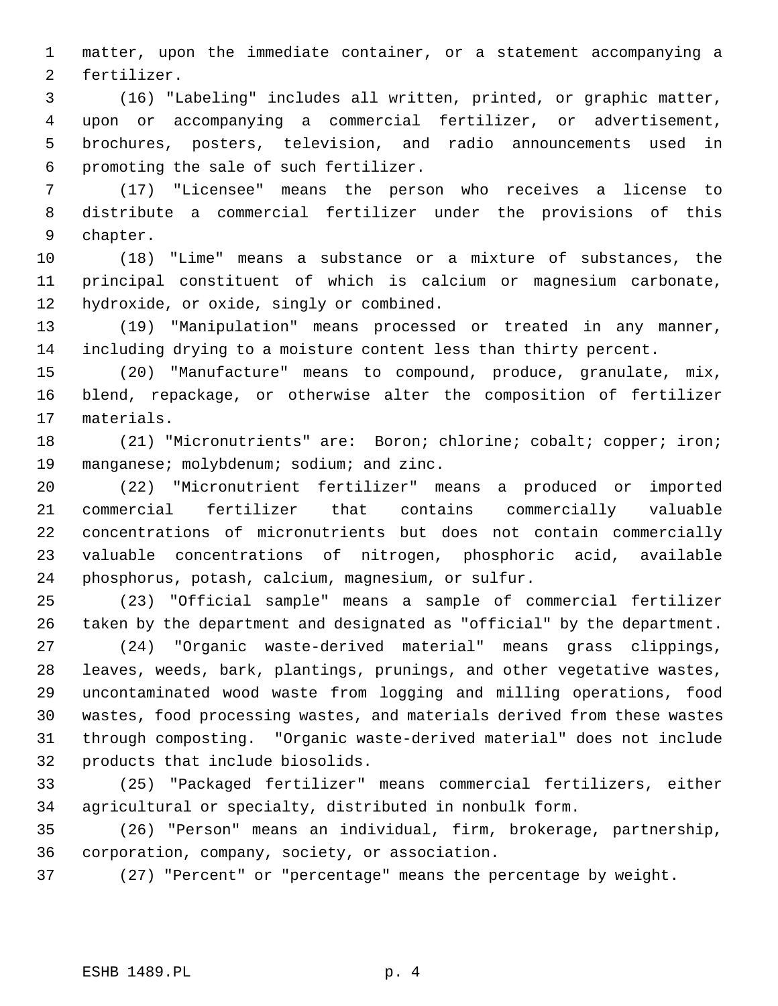1 matter, upon the immediate container, or a statement accompanying a 2 fertilizer.

 3 (16) "Labeling" includes all written, printed, or graphic matter, 4 upon or accompanying a commercial fertilizer, or advertisement, 5 brochures, posters, television, and radio announcements used in 6 promoting the sale of such fertilizer.

 7 (17) "Licensee" means the person who receives a license to 8 distribute a commercial fertilizer under the provisions of this 9 chapter.

10 (18) "Lime" means a substance or a mixture of substances, the 11 principal constituent of which is calcium or magnesium carbonate, 12 hydroxide, or oxide, singly or combined.

13 (19) "Manipulation" means processed or treated in any manner, 14 including drying to a moisture content less than thirty percent.

15 (20) "Manufacture" means to compound, produce, granulate, mix, 16 blend, repackage, or otherwise alter the composition of fertilizer 17 materials.

18 (21) "Micronutrients" are: Boron; chlorine; cobalt; copper; iron; 19 manganese; molybdenum; sodium; and zinc.

20 (22) "Micronutrient fertilizer" means a produced or imported 21 commercial fertilizer that contains commercially valuable 22 concentrations of micronutrients but does not contain commercially 23 valuable concentrations of nitrogen, phosphoric acid, available 24 phosphorus, potash, calcium, magnesium, or sulfur.

25 (23) "Official sample" means a sample of commercial fertilizer 26 taken by the department and designated as "official" by the department.

27 (24) "Organic waste-derived material" means grass clippings, 28 leaves, weeds, bark, plantings, prunings, and other vegetative wastes, 29 uncontaminated wood waste from logging and milling operations, food 30 wastes, food processing wastes, and materials derived from these wastes 31 through composting. "Organic waste-derived material" does not include 32 products that include biosolids.

33 (25) "Packaged fertilizer" means commercial fertilizers, either 34 agricultural or specialty, distributed in nonbulk form.

35 (26) "Person" means an individual, firm, brokerage, partnership, 36 corporation, company, society, or association.

37 (27) "Percent" or "percentage" means the percentage by weight.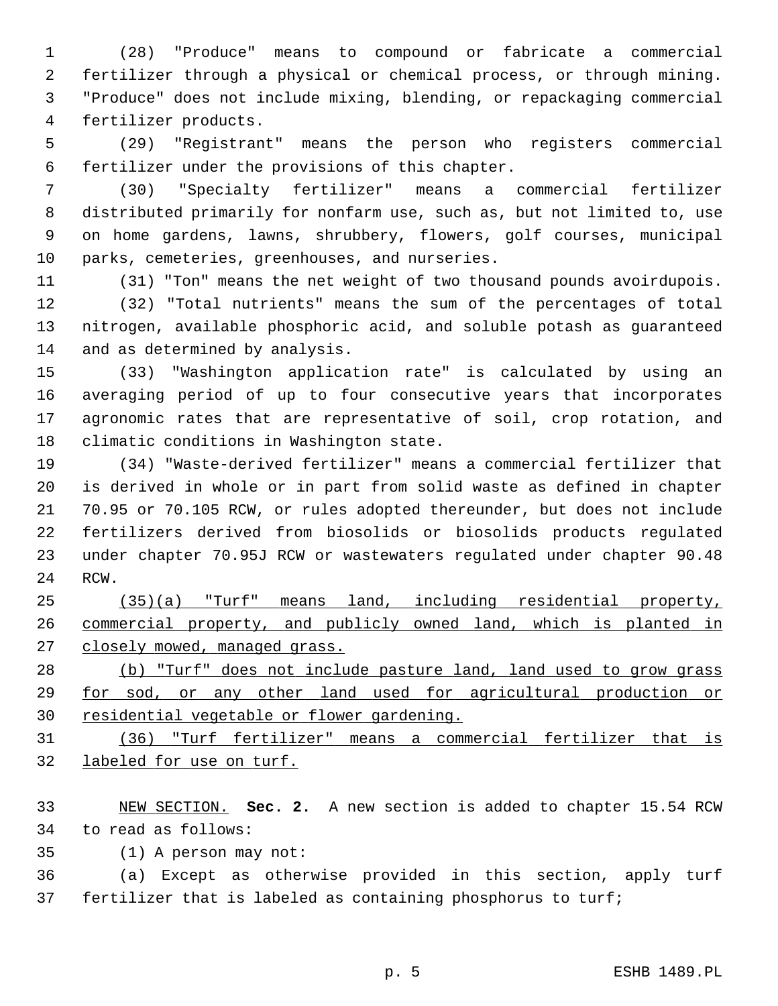1 (28) "Produce" means to compound or fabricate a commercial 2 fertilizer through a physical or chemical process, or through mining. 3 "Produce" does not include mixing, blending, or repackaging commercial 4 fertilizer products.

 5 (29) "Registrant" means the person who registers commercial 6 fertilizer under the provisions of this chapter.

 7 (30) "Specialty fertilizer" means a commercial fertilizer 8 distributed primarily for nonfarm use, such as, but not limited to, use 9 on home gardens, lawns, shrubbery, flowers, golf courses, municipal 10 parks, cemeteries, greenhouses, and nurseries.

11 (31) "Ton" means the net weight of two thousand pounds avoirdupois. 12 (32) "Total nutrients" means the sum of the percentages of total

13 nitrogen, available phosphoric acid, and soluble potash as guaranteed 14 and as determined by analysis.

15 (33) "Washington application rate" is calculated by using an 16 averaging period of up to four consecutive years that incorporates 17 agronomic rates that are representative of soil, crop rotation, and 18 climatic conditions in Washington state.

19 (34) "Waste-derived fertilizer" means a commercial fertilizer that 20 is derived in whole or in part from solid waste as defined in chapter 21 70.95 or 70.105 RCW, or rules adopted thereunder, but does not include 22 fertilizers derived from biosolids or biosolids products regulated 23 under chapter 70.95J RCW or wastewaters regulated under chapter 90.48 24 RCW.

25 (35)(a) "Turf" means land, including residential property, 26 commercial property, and publicly owned land, which is planted in 27 closely mowed, managed grass.

28 (b) "Turf" does not include pasture land, land used to grow grass 29 for sod, or any other land used for agricultural production or 30 residential vegetable or flower gardening.

31 (36) "Turf fertilizer" means a commercial fertilizer that is 32 labeled for use on turf.

33 NEW SECTION. **Sec. 2.** A new section is added to chapter 15.54 RCW 34 to read as follows:

35 (1) A person may not:

36 (a) Except as otherwise provided in this section, apply turf 37 fertilizer that is labeled as containing phosphorus to turf;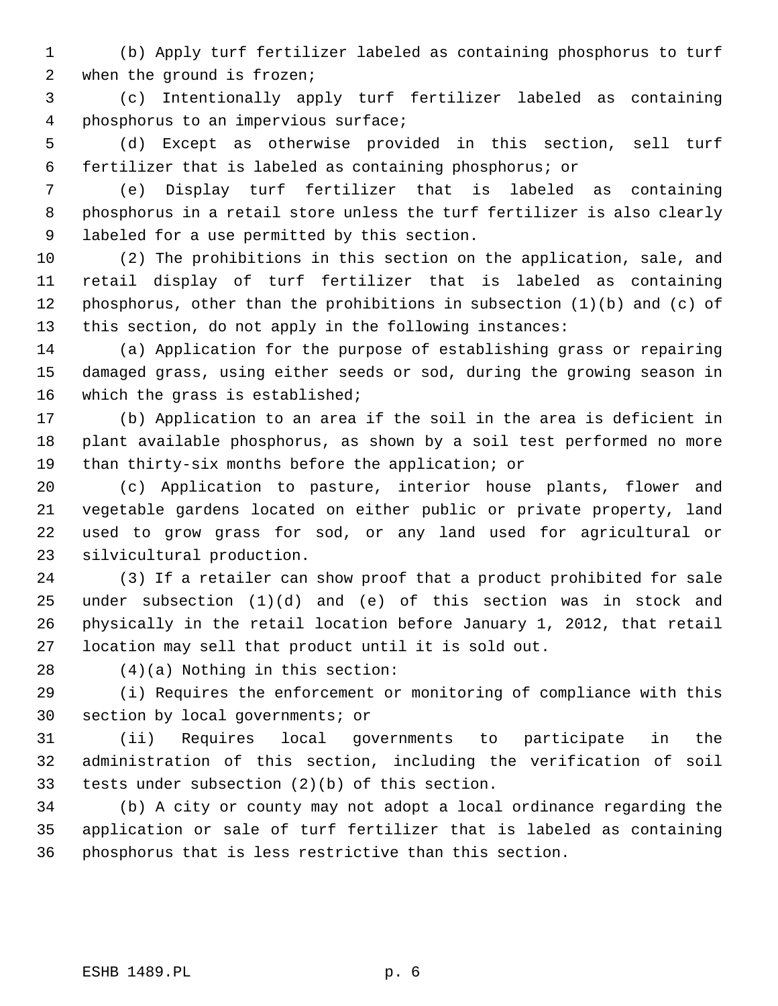1 (b) Apply turf fertilizer labeled as containing phosphorus to turf 2 when the ground is frozen;

 3 (c) Intentionally apply turf fertilizer labeled as containing 4 phosphorus to an impervious surface;

 5 (d) Except as otherwise provided in this section, sell turf 6 fertilizer that is labeled as containing phosphorus; or

 7 (e) Display turf fertilizer that is labeled as containing 8 phosphorus in a retail store unless the turf fertilizer is also clearly 9 labeled for a use permitted by this section.

10 (2) The prohibitions in this section on the application, sale, and 11 retail display of turf fertilizer that is labeled as containing 12 phosphorus, other than the prohibitions in subsection (1)(b) and (c) of 13 this section, do not apply in the following instances:

14 (a) Application for the purpose of establishing grass or repairing 15 damaged grass, using either seeds or sod, during the growing season in 16 which the grass is established;

17 (b) Application to an area if the soil in the area is deficient in 18 plant available phosphorus, as shown by a soil test performed no more 19 than thirty-six months before the application; or

20 (c) Application to pasture, interior house plants, flower and 21 vegetable gardens located on either public or private property, land 22 used to grow grass for sod, or any land used for agricultural or 23 silvicultural production.

24 (3) If a retailer can show proof that a product prohibited for sale 25 under subsection (1)(d) and (e) of this section was in stock and 26 physically in the retail location before January 1, 2012, that retail 27 location may sell that product until it is sold out.

28 (4)(a) Nothing in this section:

29 (i) Requires the enforcement or monitoring of compliance with this 30 section by local governments; or

31 (ii) Requires local governments to participate in the 32 administration of this section, including the verification of soil 33 tests under subsection (2)(b) of this section.

34 (b) A city or county may not adopt a local ordinance regarding the 35 application or sale of turf fertilizer that is labeled as containing 36 phosphorus that is less restrictive than this section.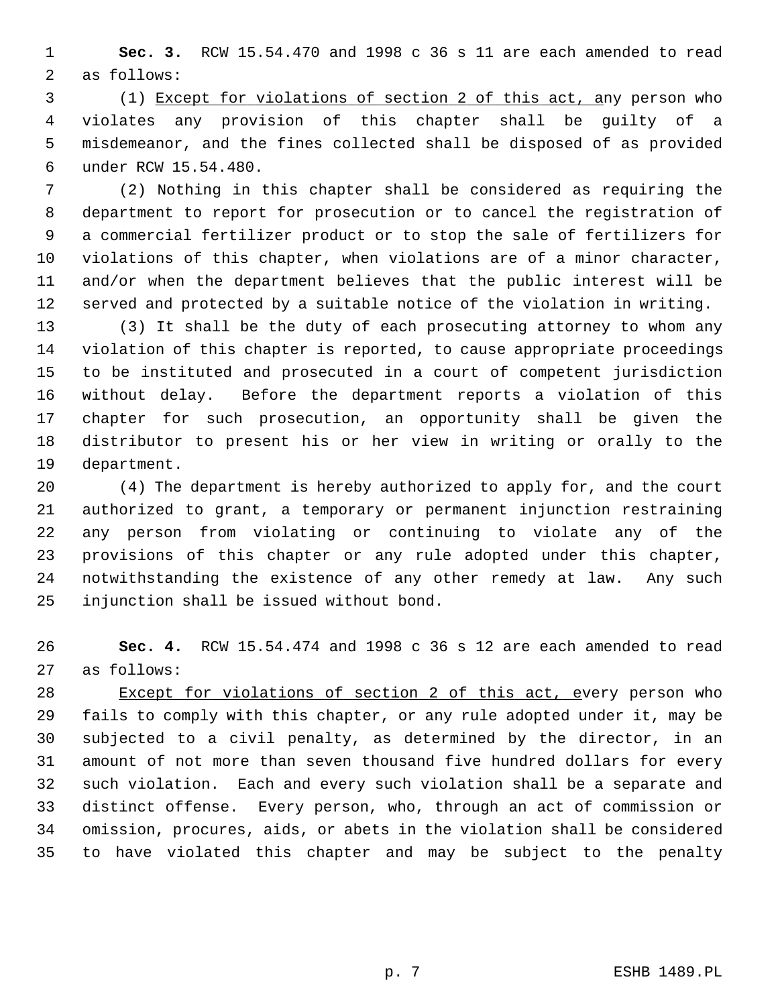1 **Sec. 3.** RCW 15.54.470 and 1998 c 36 s 11 are each amended to read 2 as follows:

 3 (1) Except for violations of section 2 of this act, any person who 4 violates any provision of this chapter shall be guilty of a 5 misdemeanor, and the fines collected shall be disposed of as provided 6 under RCW 15.54.480.

 7 (2) Nothing in this chapter shall be considered as requiring the 8 department to report for prosecution or to cancel the registration of 9 a commercial fertilizer product or to stop the sale of fertilizers for 10 violations of this chapter, when violations are of a minor character, 11 and/or when the department believes that the public interest will be 12 served and protected by a suitable notice of the violation in writing.

13 (3) It shall be the duty of each prosecuting attorney to whom any 14 violation of this chapter is reported, to cause appropriate proceedings 15 to be instituted and prosecuted in a court of competent jurisdiction 16 without delay. Before the department reports a violation of this 17 chapter for such prosecution, an opportunity shall be given the 18 distributor to present his or her view in writing or orally to the 19 department.

20 (4) The department is hereby authorized to apply for, and the court 21 authorized to grant, a temporary or permanent injunction restraining 22 any person from violating or continuing to violate any of the 23 provisions of this chapter or any rule adopted under this chapter, 24 notwithstanding the existence of any other remedy at law. Any such 25 injunction shall be issued without bond.

26 **Sec. 4.** RCW 15.54.474 and 1998 c 36 s 12 are each amended to read 27 as follows:

28 Except for violations of section 2 of this act, every person who 29 fails to comply with this chapter, or any rule adopted under it, may be 30 subjected to a civil penalty, as determined by the director, in an 31 amount of not more than seven thousand five hundred dollars for every 32 such violation. Each and every such violation shall be a separate and 33 distinct offense. Every person, who, through an act of commission or 34 omission, procures, aids, or abets in the violation shall be considered 35 to have violated this chapter and may be subject to the penalty